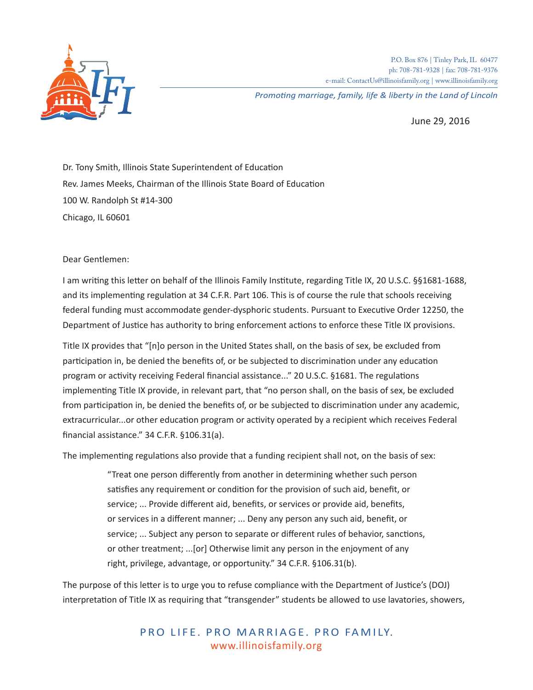

P.O. Box 876 | Tinley Park, IL 60477 ph: 708-781-9328 | fax: 708-781-9376 e-mail: ContactUs@illinoisfamily.org | www.illinoisfamily.org

*Promoting marriage, family, life & liberty in the Land of Lincoln*

June 29, 2016

Dr. Tony Smith, Illinois State Superintendent of Education Rev. James Meeks, Chairman of the Illinois State Board of Education 100 W. Randolph St #14-300 Chicago, IL 60601

## Dear Gentlemen:

I am writing this letter on behalf of the Illinois Family Institute, regarding Title IX, 20 U.S.C. §§1681-1688, and its implementing regulation at 34 C.F.R. Part 106. This is of course the rule that schools receiving federal funding must accommodate gender-dysphoric students. Pursuant to Executive Order 12250, the Department of Justice has authority to bring enforcement actions to enforce these Title IX provisions.

Title IX provides that "[n]o person in the United States shall, on the basis of sex, be excluded from participation in, be denied the benefits of, or be subjected to discrimination under any education program or activity receiving Federal financial assistance..." 20 U.S.C. §1681. The regulations implementing Title IX provide, in relevant part, that "no person shall, on the basis of sex, be excluded from participation in, be denied the benefits of, or be subjected to discrimination under any academic, extracurricular...or other education program or activity operated by a recipient which receives Federal financial assistance." 34 C.F.R. §106.31(a).

The implementing regulations also provide that a funding recipient shall not, on the basis of sex:

"Treat one person differently from another in determining whether such person satisfies any requirement or condition for the provision of such aid, benefit, or service; ... Provide different aid, benefits, or services or provide aid, benefits, or services in a different manner; ... Deny any person any such aid, benefit, or service; ... Subject any person to separate or different rules of behavior, sanctions, or other treatment; ...[or] Otherwise limit any person in the enjoyment of any right, privilege, advantage, or opportunity." 34 C.F.R. §106.31(b).

The purpose of this letter is to urge you to refuse compliance with the Department of Justice's (DOJ) interpretation of Title IX as requiring that "transgender" students be allowed to use lavatories, showers,

> PRO LIFE. PRO MARRIAGE. PRO FAMILY. www.illinoisfamily.org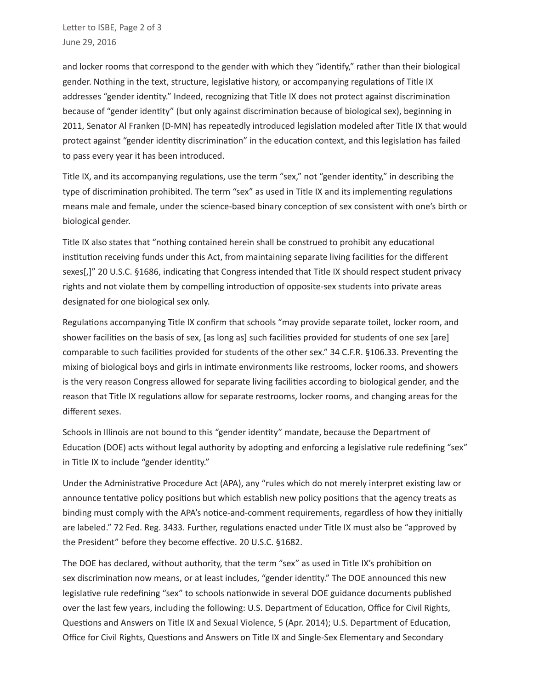and locker rooms that correspond to the gender with which they "identify," rather than their biological gender. Nothing in the text, structure, legislative history, or accompanying regulations of Title IX addresses "gender identity." Indeed, recognizing that Title IX does not protect against discrimination because of "gender identity" (but only against discrimination because of biological sex), beginning in 2011, Senator Al Franken (D-MN) has repeatedly introduced legislation modeled after Title IX that would protect against "gender identity discrimination" in the education context, and this legislation has failed to pass every year it has been introduced.

Title IX, and its accompanying regulations, use the term "sex," not "gender identity," in describing the type of discrimination prohibited. The term "sex" as used in Title IX and its implementing regulations means male and female, under the science-based binary conception of sex consistent with one's birth or biological gender.

Title IX also states that "nothing contained herein shall be construed to prohibit any educational institution receiving funds under this Act, from maintaining separate living facilities for the different sexes[,]" 20 U.S.C. §1686, indicating that Congress intended that Title IX should respect student privacy rights and not violate them by compelling introduction of opposite-sex students into private areas designated for one biological sex only.

Regulations accompanying Title IX confirm that schools "may provide separate toilet, locker room, and shower facilities on the basis of sex, [as long as] such facilities provided for students of one sex [are] comparable to such facilities provided for students of the other sex." 34 C.F.R. §106.33. Preventing the mixing of biological boys and girls in intimate environments like restrooms, locker rooms, and showers is the very reason Congress allowed for separate living facilities according to biological gender, and the reason that Title IX regulations allow for separate restrooms, locker rooms, and changing areas for the different sexes.

Schools in Illinois are not bound to this "gender identity" mandate, because the Department of Education (DOE) acts without legal authority by adopting and enforcing a legislative rule redefining "sex" in Title IX to include "gender identity."

Under the Administrative Procedure Act (APA), any "rules which do not merely interpret existing law or announce tentative policy positions but which establish new policy positions that the agency treats as binding must comply with the APA's notice-and-comment requirements, regardless of how they initially are labeled." 72 Fed. Reg. 3433. Further, regulations enacted under Title IX must also be "approved by the President" before they become effective. 20 U.S.C. §1682.

The DOE has declared, without authority, that the term "sex" as used in Title IX's prohibition on sex discrimination now means, or at least includes, "gender identity." The DOE announced this new legislative rule redefining "sex" to schools nationwide in several DOE guidance documents published over the last few years, including the following: U.S. Department of Education, Office for Civil Rights, Questions and Answers on Title IX and Sexual Violence, 5 (Apr. 2014); U.S. Department of Education, Office for Civil Rights, Questions and Answers on Title IX and Single-Sex Elementary and Secondary